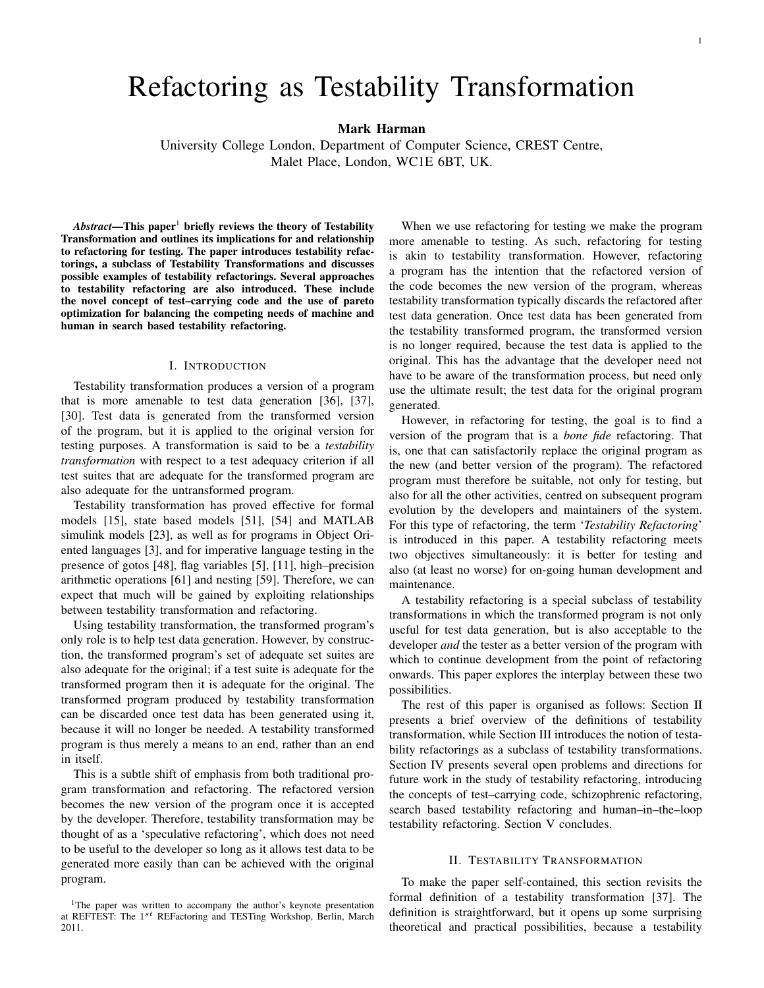# Refactoring as Testability Transformation

Mark Harman

University College London, Department of Computer Science, CREST Centre, Malet Place, London, WC1E 6BT, UK.

Abstract—This paper<sup>1</sup> briefly reviews the theory of Testability Transformation and outlines its implications for and relationship to refactoring for testing. The paper introduces testability refactorings, a subclass of Testability Transformations and discusses possible examples of testability refactorings. Several approaches to testability refactoring are also introduced. These include the novel concept of test–carrying code and the use of pareto optimization for balancing the competing needs of machine and human in search based testability refactoring.

#### I. INTRODUCTION

Testability transformation produces a version of a program that is more amenable to test data generation [36], [37], [30]. Test data is generated from the transformed version of the program, but it is applied to the original version for testing purposes. A transformation is said to be a *testability transformation* with respect to a test adequacy criterion if all test suites that are adequate for the transformed program are also adequate for the untransformed program.

Testability transformation has proved effective for formal models [15], state based models [51], [54] and MATLAB simulink models [23], as well as for programs in Object Oriented languages [3], and for imperative language testing in the presence of gotos [48], flag variables [5], [11], high–precision arithmetic operations [61] and nesting [59]. Therefore, we can expect that much will be gained by exploiting relationships between testability transformation and refactoring.

Using testability transformation, the transformed program's only role is to help test data generation. However, by construction, the transformed program's set of adequate set suites are also adequate for the original; if a test suite is adequate for the transformed program then it is adequate for the original. The transformed program produced by testability transformation can be discarded once test data has been generated using it, because it will no longer be needed. A testability transformed program is thus merely a means to an end, rather than an end in itself.

This is a subtle shift of emphasis from both traditional program transformation and refactoring. The refactored version becomes the new version of the program once it is accepted by the developer. Therefore, testability transformation may be thought of as a 'speculative refactoring', which does not need to be useful to the developer so long as it allows test data to be generated more easily than can be achieved with the original program.

When we use refactoring for testing we make the program more amenable to testing. As such, refactoring for testing is akin to testability transformation. However, refactoring a program has the intention that the refactored version of the code becomes the new version of the program, whereas testability transformation typically discards the refactored after test data generation. Once test data has been generated from the testability transformed program, the transformed version is no longer required, because the test data is applied to the original. This has the advantage that the developer need not have to be aware of the transformation process, but need only use the ultimate result; the test data for the original program generated.

However, in refactoring for testing, the goal is to find a version of the program that is a *bone fide* refactoring. That is, one that can satisfactorily replace the original program as the new (and better version of the program). The refactored program must therefore be suitable, not only for testing, but also for all the other activities, centred on subsequent program evolution by the developers and maintainers of the system. For this type of refactoring, the term '*Testability Refactoring*' is introduced in this paper. A testability refactoring meets two objectives simultaneously: it is better for testing and also (at least no worse) for on-going human development and maintenance.

A testability refactoring is a special subclass of testability transformations in which the transformed program is not only useful for test data generation, but is also acceptable to the developer *and* the tester as a better version of the program with which to continue development from the point of refactoring onwards. This paper explores the interplay between these two possibilities.

The rest of this paper is organised as follows: Section II presents a brief overview of the definitions of testability transformation, while Section III introduces the notion of testability refactorings as a subclass of testability transformations. Section IV presents several open problems and directions for future work in the study of testability refactoring, introducing the concepts of test–carrying code, schizophrenic refactoring, search based testability refactoring and human–in–the–loop testability refactoring. Section V concludes.

#### II. TESTABILITY TRANSFORMATION

To make the paper self-contained, this section revisits the formal definition of a testability transformation [37]. The definition is straightforward, but it opens up some surprising theoretical and practical possibilities, because a testability

<sup>&</sup>lt;sup>1</sup>The paper was written to accompany the author's keynote presentation at REFTEST: The  $1^{st}$  REFactoring and TESTing Workshop, Berlin, March 2011.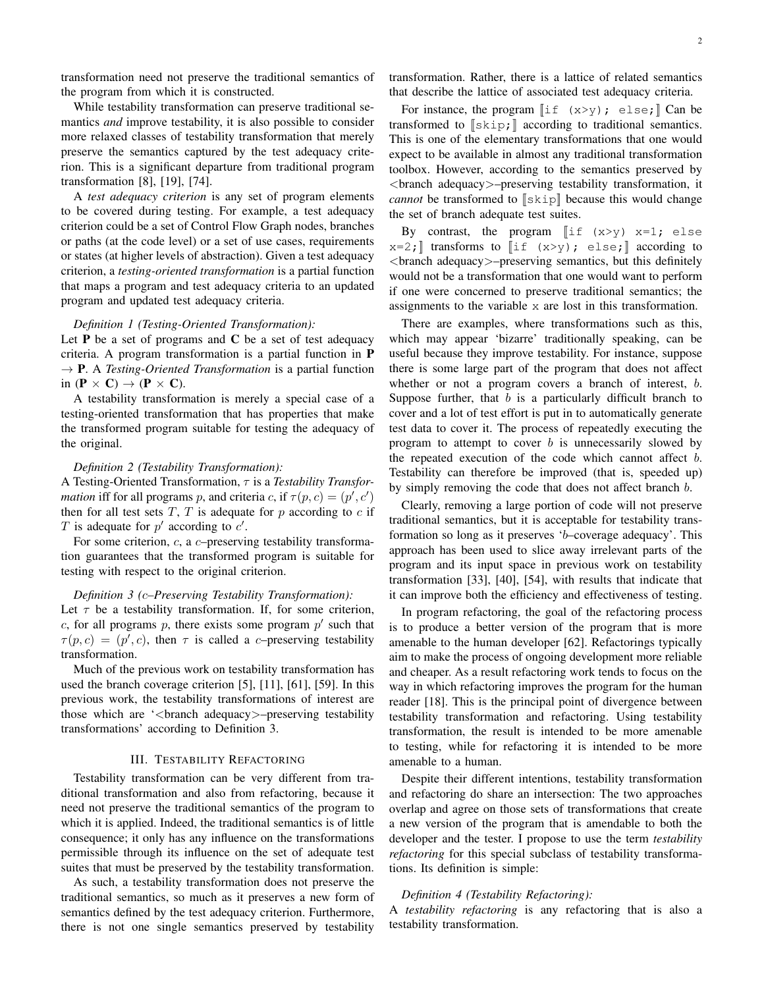transformation need not preserve the traditional semantics of the program from which it is constructed.

While testability transformation can preserve traditional semantics *and* improve testability, it is also possible to consider more relaxed classes of testability transformation that merely preserve the semantics captured by the test adequacy criterion. This is a significant departure from traditional program transformation [8], [19], [74].

A *test adequacy criterion* is any set of program elements to be covered during testing. For example, a test adequacy criterion could be a set of Control Flow Graph nodes, branches or paths (at the code level) or a set of use cases, requirements or states (at higher levels of abstraction). Given a test adequacy criterion, a *testing-oriented transformation* is a partial function that maps a program and test adequacy criteria to an updated program and updated test adequacy criteria.

## *Definition 1 (Testing-Oriented Transformation):*

Let  $P$  be a set of programs and  $C$  be a set of test adequacy criteria. A program transformation is a partial function in P  $\rightarrow$  **P**. A *Testing-Oriented Transformation* is a partial function in  $(\mathbf{P} \times \mathbf{C}) \rightarrow (\mathbf{P} \times \mathbf{C})$ .

A testability transformation is merely a special case of a testing-oriented transformation that has properties that make the transformed program suitable for testing the adequacy of the original.

#### *Definition 2 (Testability Transformation):*

A Testing-Oriented Transformation, τ is a *Testability Transformation* iff for all programs p, and criteria c, if  $\tau(p, c) = (p', c')$ then for all test sets  $T$ ,  $T$  is adequate for  $p$  according to  $c$  if T is adequate for  $p'$  according to  $c'$ .

For some criterion, c, a c-preserving testability transformation guarantees that the transformed program is suitable for testing with respect to the original criterion.

### *Definition 3 (*c*–Preserving Testability Transformation):*

Let  $\tau$  be a testability transformation. If, for some criterion, c, for all programs  $p$ , there exists some program  $p'$  such that  $\tau(p,c) = (p', c)$ , then  $\tau$  is called a c-preserving testability transformation.

Much of the previous work on testability transformation has used the branch coverage criterion [5], [11], [61], [59]. In this previous work, the testability transformations of interest are those which are '<br/>branch adequacy>-preserving testability transformations' according to Definition 3.

#### III. TESTABILITY REFACTORING

Testability transformation can be very different from traditional transformation and also from refactoring, because it need not preserve the traditional semantics of the program to which it is applied. Indeed, the traditional semantics is of little consequence; it only has any influence on the transformations permissible through its influence on the set of adequate test suites that must be preserved by the testability transformation.

As such, a testability transformation does not preserve the traditional semantics, so much as it preserves a new form of semantics defined by the test adequacy criterion. Furthermore, there is not one single semantics preserved by testability

transformation. Rather, there is a lattice of related semantics that describe the lattice of associated test adequacy criteria.

For instance, the program  $\left[ \exists f \ (x \rightarrow y) \right]$ ; else;  $\left[ \right]$  Can be transformed to  $[skip; ]$  according to traditional semantics. This is one of the elementary transformations that one would expect to be available in almost any traditional transformation toolbox. However, according to the semantics preserved by <branch adequacy>–preserving testability transformation, it *cannot* be transformed to [[skip]] because this would change the set of branch adequate test suites.

By contrast, the program  $\left[ \begin{array}{cc} \text{if} & (x > y) & x = 1 \\ \end{array} \right]$  else  $x=2$ ; transforms to [if (x>y); else; according to <branch adequacy>–preserving semantics, but this definitely would not be a transformation that one would want to perform if one were concerned to preserve traditional semantics; the assignments to the variable x are lost in this transformation.

There are examples, where transformations such as this, which may appear 'bizarre' traditionally speaking, can be useful because they improve testability. For instance, suppose there is some large part of the program that does not affect whether or not a program covers a branch of interest, b. Suppose further, that  $b$  is a particularly difficult branch to cover and a lot of test effort is put in to automatically generate test data to cover it. The process of repeatedly executing the program to attempt to cover  $b$  is unnecessarily slowed by the repeated execution of the code which cannot affect  $b$ . Testability can therefore be improved (that is, speeded up) by simply removing the code that does not affect branch b.

Clearly, removing a large portion of code will not preserve traditional semantics, but it is acceptable for testability transformation so long as it preserves 'b–coverage adequacy'. This approach has been used to slice away irrelevant parts of the program and its input space in previous work on testability transformation [33], [40], [54], with results that indicate that it can improve both the efficiency and effectiveness of testing.

In program refactoring, the goal of the refactoring process is to produce a better version of the program that is more amenable to the human developer [62]. Refactorings typically aim to make the process of ongoing development more reliable and cheaper. As a result refactoring work tends to focus on the way in which refactoring improves the program for the human reader [18]. This is the principal point of divergence between testability transformation and refactoring. Using testability transformation, the result is intended to be more amenable to testing, while for refactoring it is intended to be more amenable to a human.

Despite their different intentions, testability transformation and refactoring do share an intersection: The two approaches overlap and agree on those sets of transformations that create a new version of the program that is amendable to both the developer and the tester. I propose to use the term *testability refactoring* for this special subclass of testability transformations. Its definition is simple:

#### *Definition 4 (Testability Refactoring):*

A *testability refactoring* is any refactoring that is also a testability transformation.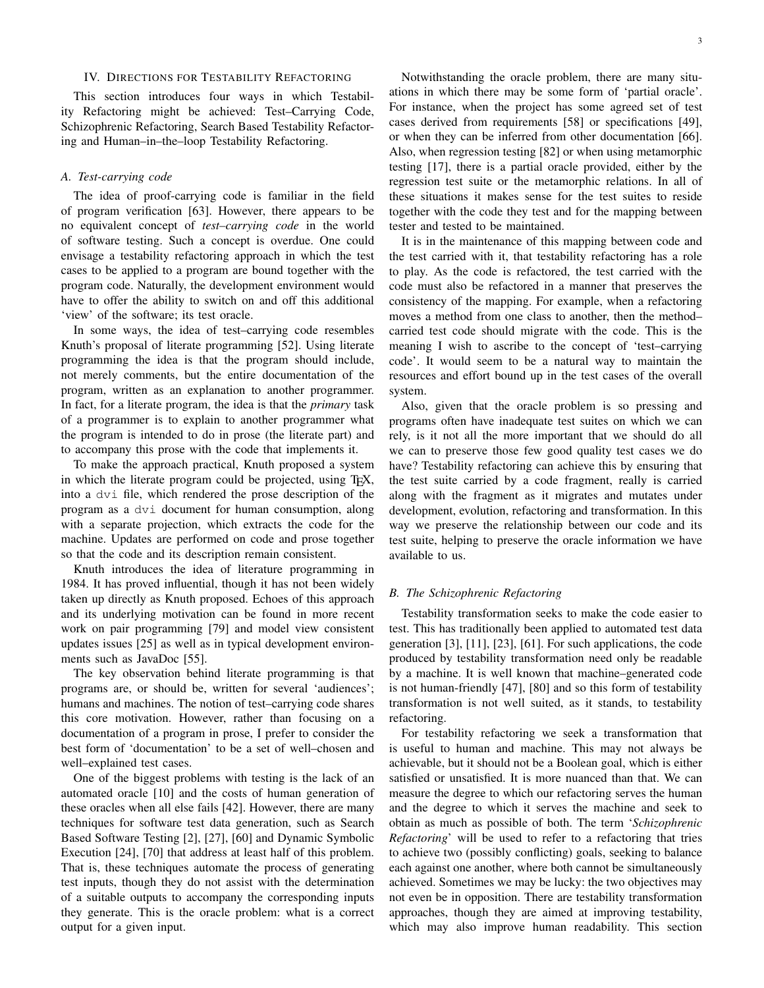### IV. DIRECTIONS FOR TESTABILITY REFACTORING

This section introduces four ways in which Testability Refactoring might be achieved: Test–Carrying Code, Schizophrenic Refactoring, Search Based Testability Refactoring and Human–in–the–loop Testability Refactoring.

## *A. Test-carrying code*

The idea of proof-carrying code is familiar in the field of program verification [63]. However, there appears to be no equivalent concept of *test–carrying code* in the world of software testing. Such a concept is overdue. One could envisage a testability refactoring approach in which the test cases to be applied to a program are bound together with the program code. Naturally, the development environment would have to offer the ability to switch on and off this additional 'view' of the software; its test oracle.

In some ways, the idea of test–carrying code resembles Knuth's proposal of literate programming [52]. Using literate programming the idea is that the program should include, not merely comments, but the entire documentation of the program, written as an explanation to another programmer. In fact, for a literate program, the idea is that the *primary* task of a programmer is to explain to another programmer what the program is intended to do in prose (the literate part) and to accompany this prose with the code that implements it.

To make the approach practical, Knuth proposed a system in which the literate program could be projected, using T<sub>E</sub>X, into a dvi file, which rendered the prose description of the program as a dvi document for human consumption, along with a separate projection, which extracts the code for the machine. Updates are performed on code and prose together so that the code and its description remain consistent.

Knuth introduces the idea of literature programming in 1984. It has proved influential, though it has not been widely taken up directly as Knuth proposed. Echoes of this approach and its underlying motivation can be found in more recent work on pair programming [79] and model view consistent updates issues [25] as well as in typical development environments such as JavaDoc [55].

The key observation behind literate programming is that programs are, or should be, written for several 'audiences'; humans and machines. The notion of test–carrying code shares this core motivation. However, rather than focusing on a documentation of a program in prose, I prefer to consider the best form of 'documentation' to be a set of well–chosen and well–explained test cases.

One of the biggest problems with testing is the lack of an automated oracle [10] and the costs of human generation of these oracles when all else fails [42]. However, there are many techniques for software test data generation, such as Search Based Software Testing [2], [27], [60] and Dynamic Symbolic Execution [24], [70] that address at least half of this problem. That is, these techniques automate the process of generating test inputs, though they do not assist with the determination of a suitable outputs to accompany the corresponding inputs they generate. This is the oracle problem: what is a correct output for a given input.

Notwithstanding the oracle problem, there are many situations in which there may be some form of 'partial oracle'. For instance, when the project has some agreed set of test

cases derived from requirements [58] or specifications [49], or when they can be inferred from other documentation [66]. Also, when regression testing [82] or when using metamorphic testing [17], there is a partial oracle provided, either by the regression test suite or the metamorphic relations. In all of these situations it makes sense for the test suites to reside together with the code they test and for the mapping between tester and tested to be maintained.

It is in the maintenance of this mapping between code and the test carried with it, that testability refactoring has a role to play. As the code is refactored, the test carried with the code must also be refactored in a manner that preserves the consistency of the mapping. For example, when a refactoring moves a method from one class to another, then the method– carried test code should migrate with the code. This is the meaning I wish to ascribe to the concept of 'test–carrying code'. It would seem to be a natural way to maintain the resources and effort bound up in the test cases of the overall system.

Also, given that the oracle problem is so pressing and programs often have inadequate test suites on which we can rely, is it not all the more important that we should do all we can to preserve those few good quality test cases we do have? Testability refactoring can achieve this by ensuring that the test suite carried by a code fragment, really is carried along with the fragment as it migrates and mutates under development, evolution, refactoring and transformation. In this way we preserve the relationship between our code and its test suite, helping to preserve the oracle information we have available to us.

#### *B. The Schizophrenic Refactoring*

Testability transformation seeks to make the code easier to test. This has traditionally been applied to automated test data generation [3], [11], [23], [61]. For such applications, the code produced by testability transformation need only be readable by a machine. It is well known that machine–generated code is not human-friendly [47], [80] and so this form of testability transformation is not well suited, as it stands, to testability refactoring.

For testability refactoring we seek a transformation that is useful to human and machine. This may not always be achievable, but it should not be a Boolean goal, which is either satisfied or unsatisfied. It is more nuanced than that. We can measure the degree to which our refactoring serves the human and the degree to which it serves the machine and seek to obtain as much as possible of both. The term '*Schizophrenic Refactoring*' will be used to refer to a refactoring that tries to achieve two (possibly conflicting) goals, seeking to balance each against one another, where both cannot be simultaneously achieved. Sometimes we may be lucky: the two objectives may not even be in opposition. There are testability transformation approaches, though they are aimed at improving testability, which may also improve human readability. This section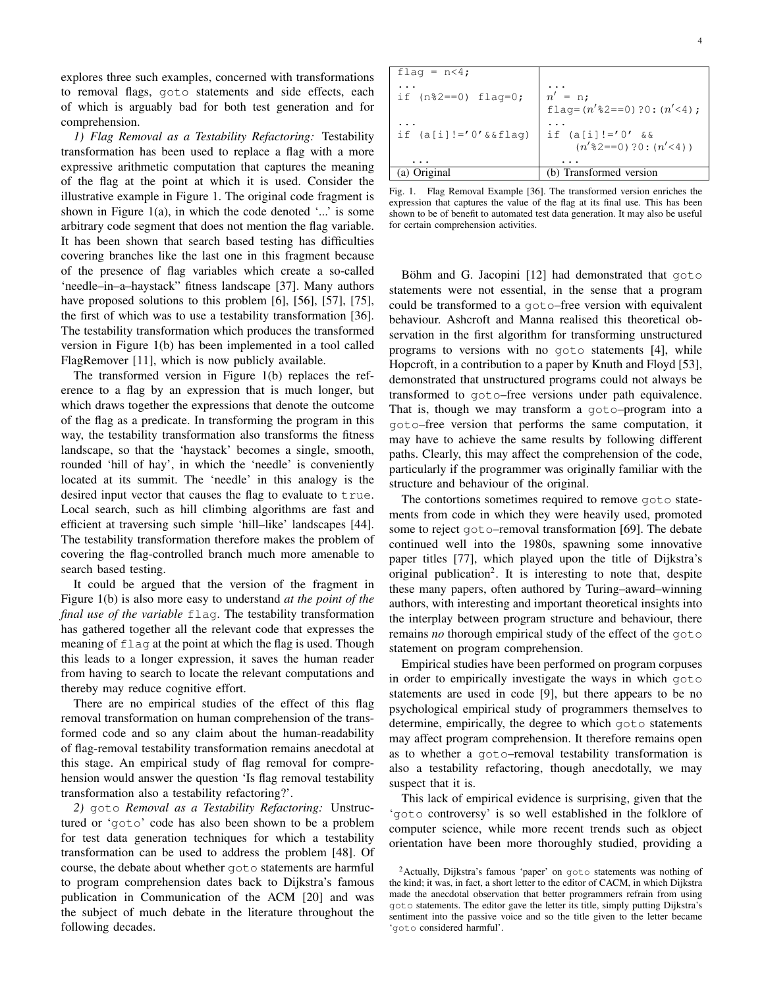explores three such examples, concerned with transformations to removal flags, goto statements and side effects, each of which is arguably bad for both test generation and for comprehension.

*1) Flag Removal as a Testability Refactoring:* Testability transformation has been used to replace a flag with a more expressive arithmetic computation that captures the meaning of the flag at the point at which it is used. Consider the illustrative example in Figure 1. The original code fragment is shown in Figure 1(a), in which the code denoted '...' is some arbitrary code segment that does not mention the flag variable. It has been shown that search based testing has difficulties covering branches like the last one in this fragment because of the presence of flag variables which create a so-called 'needle–in–a–haystack" fitness landscape [37]. Many authors have proposed solutions to this problem [6], [56], [57], [75], the first of which was to use a testability transformation [36]. The testability transformation which produces the transformed version in Figure 1(b) has been implemented in a tool called FlagRemover [11], which is now publicly available.

The transformed version in Figure 1(b) replaces the reference to a flag by an expression that is much longer, but which draws together the expressions that denote the outcome of the flag as a predicate. In transforming the program in this way, the testability transformation also transforms the fitness landscape, so that the 'haystack' becomes a single, smooth, rounded 'hill of hay', in which the 'needle' is conveniently located at its summit. The 'needle' in this analogy is the desired input vector that causes the flag to evaluate to true. Local search, such as hill climbing algorithms are fast and efficient at traversing such simple 'hill–like' landscapes [44]. The testability transformation therefore makes the problem of covering the flag-controlled branch much more amenable to search based testing.

It could be argued that the version of the fragment in Figure 1(b) is also more easy to understand *at the point of the final use of the variable* flag. The testability transformation has gathered together all the relevant code that expresses the meaning of flag at the point at which the flag is used. Though this leads to a longer expression, it saves the human reader from having to search to locate the relevant computations and thereby may reduce cognitive effort.

There are no empirical studies of the effect of this flag removal transformation on human comprehension of the transformed code and so any claim about the human-readability of flag-removal testability transformation remains anecdotal at this stage. An empirical study of flag removal for comprehension would answer the question 'Is flag removal testability transformation also a testability refactoring?'.

*2)* goto *Removal as a Testability Refactoring:* Unstructured or 'goto' code has also been shown to be a problem for test data generation techniques for which a testability transformation can be used to address the problem [48]. Of course, the debate about whether goto statements are harmful to program comprehension dates back to Dijkstra's famous publication in Communication of the ACM [20] and was the subject of much debate in the literature throughout the following decades.

| flaq = $n < 4$ ;               |                                                          |
|--------------------------------|----------------------------------------------------------|
| if $(n\frac{2}{2}=-0)$ flag=0; | $n' = n;$<br>flag= $(n'$ <sup>2</sup> ==0)?0: $(n'$ <4); |
| if $(a[i] != '0' & flag)$      | if $(a[i] != '0' \&&$<br>$(n'$ %2==0)?0: $(n'$ <4))      |
|                                |                                                          |
| Original<br>(a)                | (b) Transformed version                                  |

Fig. 1. Flag Removal Example [36]. The transformed version enriches the expression that captures the value of the flag at its final use. This has been shown to be of benefit to automated test data generation. It may also be useful for certain comprehension activities.

Böhm and G. Jacopini [12] had demonstrated that goto statements were not essential, in the sense that a program could be transformed to a goto–free version with equivalent behaviour. Ashcroft and Manna realised this theoretical observation in the first algorithm for transforming unstructured programs to versions with no goto statements [4], while Hopcroft, in a contribution to a paper by Knuth and Floyd [53], demonstrated that unstructured programs could not always be transformed to goto–free versions under path equivalence. That is, though we may transform a goto–program into a goto–free version that performs the same computation, it may have to achieve the same results by following different paths. Clearly, this may affect the comprehension of the code, particularly if the programmer was originally familiar with the structure and behaviour of the original.

The contortions sometimes required to remove goto statements from code in which they were heavily used, promoted some to reject got o–removal transformation [69]. The debate continued well into the 1980s, spawning some innovative paper titles [77], which played upon the title of Dijkstra's original publication<sup>2</sup>. It is interesting to note that, despite these many papers, often authored by Turing–award–winning authors, with interesting and important theoretical insights into the interplay between program structure and behaviour, there remains *no* thorough empirical study of the effect of the goto statement on program comprehension.

Empirical studies have been performed on program corpuses in order to empirically investigate the ways in which goto statements are used in code [9], but there appears to be no psychological empirical study of programmers themselves to determine, empirically, the degree to which goto statements may affect program comprehension. It therefore remains open as to whether a goto–removal testability transformation is also a testability refactoring, though anecdotally, we may suspect that it is.

This lack of empirical evidence is surprising, given that the 'goto controversy' is so well established in the folklore of computer science, while more recent trends such as object orientation have been more thoroughly studied, providing a

<sup>2</sup>Actually, Dijkstra's famous 'paper' on goto statements was nothing of the kind; it was, in fact, a short letter to the editor of CACM, in which Dijkstra made the anecdotal observation that better programmers refrain from using goto statements. The editor gave the letter its title, simply putting Dijkstra's sentiment into the passive voice and so the title given to the letter became 'goto considered harmful'.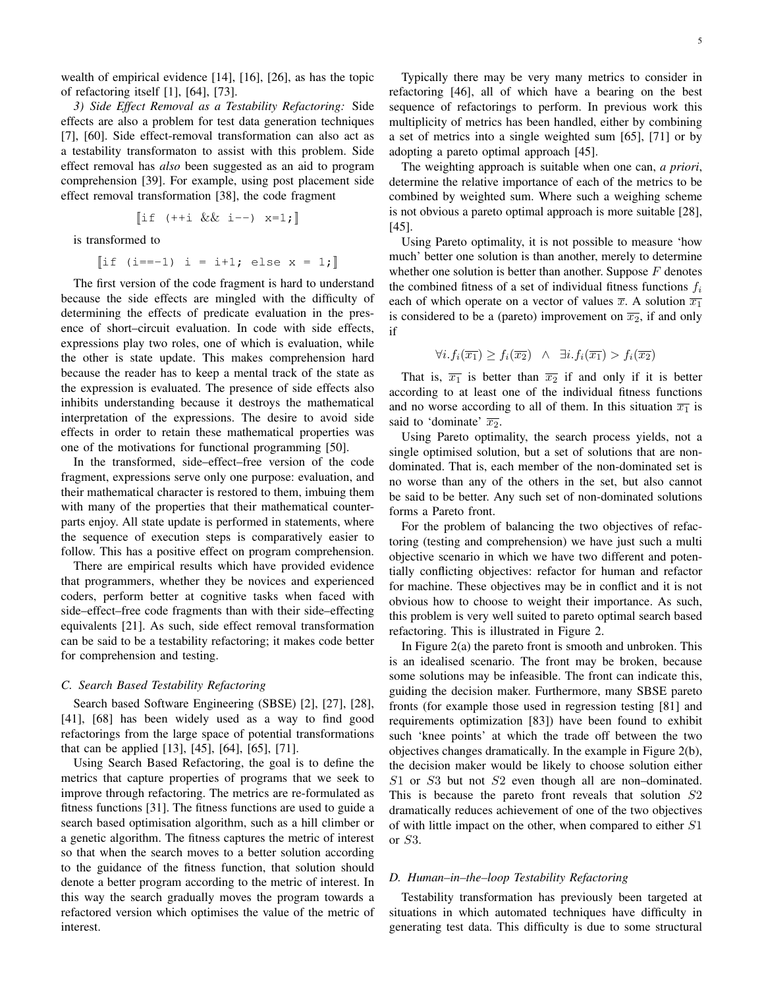wealth of empirical evidence [14], [16], [26], as has the topic of refactoring itself [1], [64], [73].

*3) Side Effect Removal as a Testability Refactoring:* Side effects are also a problem for test data generation techniques [7], [60]. Side effect-removal transformation can also act as a testability transformaton to assist with this problem. Side effect removal has *also* been suggested as an aid to program comprehension [39]. For example, using post placement side effect removal transformation [38], the code fragment

$$
\|\text{if } (++i \&\& i--) \ \text{x=1;}
$$

is transformed to

$$
\|\text{if } (i == -1) \text{ i} = i + 1; \text{ else } x = 1; \|
$$

The first version of the code fragment is hard to understand because the side effects are mingled with the difficulty of determining the effects of predicate evaluation in the presence of short–circuit evaluation. In code with side effects, expressions play two roles, one of which is evaluation, while the other is state update. This makes comprehension hard because the reader has to keep a mental track of the state as the expression is evaluated. The presence of side effects also inhibits understanding because it destroys the mathematical interpretation of the expressions. The desire to avoid side effects in order to retain these mathematical properties was one of the motivations for functional programming [50].

In the transformed, side–effect–free version of the code fragment, expressions serve only one purpose: evaluation, and their mathematical character is restored to them, imbuing them with many of the properties that their mathematical counterparts enjoy. All state update is performed in statements, where the sequence of execution steps is comparatively easier to follow. This has a positive effect on program comprehension.

There are empirical results which have provided evidence that programmers, whether they be novices and experienced coders, perform better at cognitive tasks when faced with side–effect–free code fragments than with their side–effecting equivalents [21]. As such, side effect removal transformation can be said to be a testability refactoring; it makes code better for comprehension and testing.

## *C. Search Based Testability Refactoring*

Search based Software Engineering (SBSE) [2], [27], [28], [41], [68] has been widely used as a way to find good refactorings from the large space of potential transformations that can be applied [13], [45], [64], [65], [71].

Using Search Based Refactoring, the goal is to define the metrics that capture properties of programs that we seek to improve through refactoring. The metrics are re-formulated as fitness functions [31]. The fitness functions are used to guide a search based optimisation algorithm, such as a hill climber or a genetic algorithm. The fitness captures the metric of interest so that when the search moves to a better solution according to the guidance of the fitness function, that solution should denote a better program according to the metric of interest. In this way the search gradually moves the program towards a refactored version which optimises the value of the metric of interest.

Typically there may be very many metrics to consider in refactoring [46], all of which have a bearing on the best sequence of refactorings to perform. In previous work this multiplicity of metrics has been handled, either by combining a set of metrics into a single weighted sum [65], [71] or by adopting a pareto optimal approach [45].

The weighting approach is suitable when one can, *a priori*, determine the relative importance of each of the metrics to be combined by weighted sum. Where such a weighing scheme is not obvious a pareto optimal approach is more suitable [28], [45].

Using Pareto optimality, it is not possible to measure 'how much' better one solution is than another, merely to determine whether one solution is better than another. Suppose  $F$  denotes the combined fitness of a set of individual fitness functions  $f_i$ each of which operate on a vector of values  $\overline{x}$ . A solution  $\overline{x_1}$ is considered to be a (pareto) improvement on  $\overline{x_2}$ , if and only if

$$
\forall i. f_i(\overline{x_1}) \ge f_i(\overline{x_2}) \quad \wedge \quad \exists i. f_i(\overline{x_1}) > f_i(\overline{x_2})
$$

That is,  $\overline{x_1}$  is better than  $\overline{x_2}$  if and only if it is better according to at least one of the individual fitness functions and no worse according to all of them. In this situation  $\overline{x_1}$  is said to 'dominate'  $\overline{x_2}$ .

Using Pareto optimality, the search process yields, not a single optimised solution, but a set of solutions that are nondominated. That is, each member of the non-dominated set is no worse than any of the others in the set, but also cannot be said to be better. Any such set of non-dominated solutions forms a Pareto front.

For the problem of balancing the two objectives of refactoring (testing and comprehension) we have just such a multi objective scenario in which we have two different and potentially conflicting objectives: refactor for human and refactor for machine. These objectives may be in conflict and it is not obvious how to choose to weight their importance. As such, this problem is very well suited to pareto optimal search based refactoring. This is illustrated in Figure 2.

In Figure 2(a) the pareto front is smooth and unbroken. This is an idealised scenario. The front may be broken, because some solutions may be infeasible. The front can indicate this, guiding the decision maker. Furthermore, many SBSE pareto fronts (for example those used in regression testing [81] and requirements optimization [83]) have been found to exhibit such 'knee points' at which the trade off between the two objectives changes dramatically. In the example in Figure 2(b), the decision maker would be likely to choose solution either S1 or S3 but not S2 even though all are non-dominated. This is because the pareto front reveals that solution S2 dramatically reduces achievement of one of the two objectives of with little impact on the other, when compared to either S1 or S3.

## *D. Human–in–the–loop Testability Refactoring*

Testability transformation has previously been targeted at situations in which automated techniques have difficulty in generating test data. This difficulty is due to some structural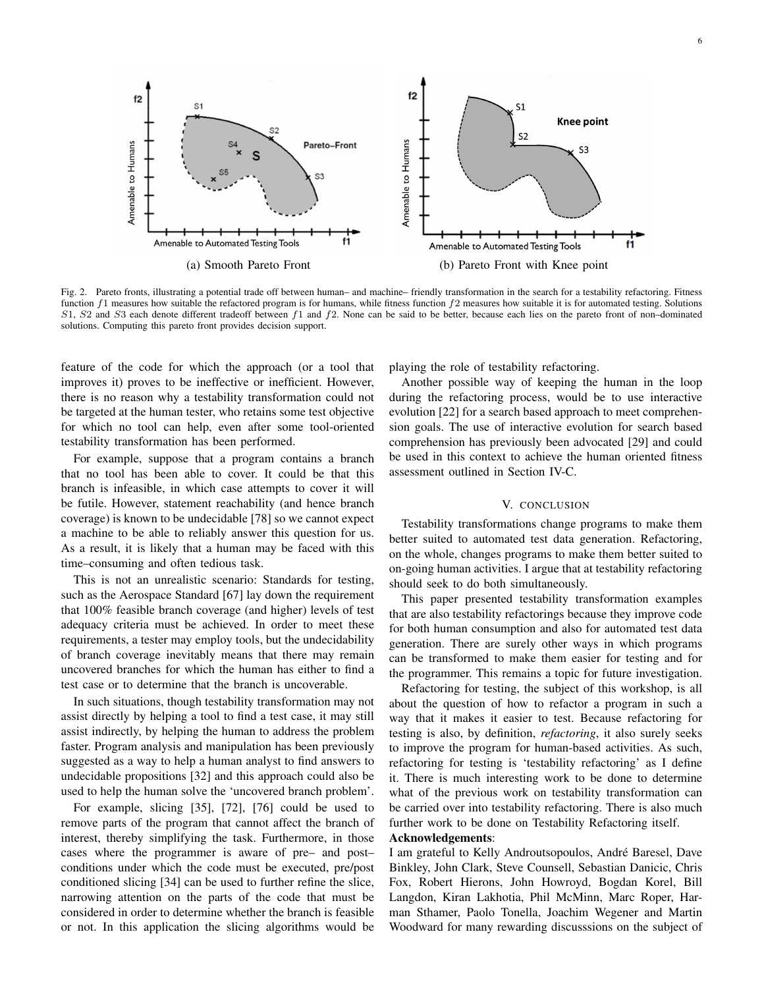

Fig. 2. Pareto fronts, illustrating a potential trade off between human– and machine– friendly transformation in the search for a testability refactoring. Fitness function  $f_1$  measures how suitable the refactored program is for humans, while fitness function  $f_2$  measures how suitable it is for automated testing. Solutions S1, S2 and S3 each denote different tradeoff between f1 and f2. None can be said to be better, because each lies on the pareto front of non-dominated solutions. Computing this pareto front provides decision support.

feature of the code for which the approach (or a tool that improves it) proves to be ineffective or inefficient. However, there is no reason why a testability transformation could not be targeted at the human tester, who retains some test objective for which no tool can help, even after some tool-oriented testability transformation has been performed.

For example, suppose that a program contains a branch that no tool has been able to cover. It could be that this branch is infeasible, in which case attempts to cover it will be futile. However, statement reachability (and hence branch coverage) is known to be undecidable [78] so we cannot expect a machine to be able to reliably answer this question for us. As a result, it is likely that a human may be faced with this time–consuming and often tedious task.

This is not an unrealistic scenario: Standards for testing, such as the Aerospace Standard [67] lay down the requirement that 100% feasible branch coverage (and higher) levels of test adequacy criteria must be achieved. In order to meet these requirements, a tester may employ tools, but the undecidability of branch coverage inevitably means that there may remain uncovered branches for which the human has either to find a test case or to determine that the branch is uncoverable.

In such situations, though testability transformation may not assist directly by helping a tool to find a test case, it may still assist indirectly, by helping the human to address the problem faster. Program analysis and manipulation has been previously suggested as a way to help a human analyst to find answers to undecidable propositions [32] and this approach could also be used to help the human solve the 'uncovered branch problem'.

For example, slicing [35], [72], [76] could be used to remove parts of the program that cannot affect the branch of interest, thereby simplifying the task. Furthermore, in those cases where the programmer is aware of pre– and post– conditions under which the code must be executed, pre/post conditioned slicing [34] can be used to further refine the slice, narrowing attention on the parts of the code that must be considered in order to determine whether the branch is feasible or not. In this application the slicing algorithms would be playing the role of testability refactoring.

Another possible way of keeping the human in the loop during the refactoring process, would be to use interactive evolution [22] for a search based approach to meet comprehension goals. The use of interactive evolution for search based comprehension has previously been advocated [29] and could be used in this context to achieve the human oriented fitness assessment outlined in Section IV-C.

## V. CONCLUSION

Testability transformations change programs to make them better suited to automated test data generation. Refactoring, on the whole, changes programs to make them better suited to on-going human activities. I argue that at testability refactoring should seek to do both simultaneously.

This paper presented testability transformation examples that are also testability refactorings because they improve code for both human consumption and also for automated test data generation. There are surely other ways in which programs can be transformed to make them easier for testing and for the programmer. This remains a topic for future investigation.

Refactoring for testing, the subject of this workshop, is all about the question of how to refactor a program in such a way that it makes it easier to test. Because refactoring for testing is also, by definition, *refactoring*, it also surely seeks to improve the program for human-based activities. As such, refactoring for testing is 'testability refactoring' as I define it. There is much interesting work to be done to determine what of the previous work on testability transformation can be carried over into testability refactoring. There is also much further work to be done on Testability Refactoring itself.

# Acknowledgements:

I am grateful to Kelly Androutsopoulos, Andre Baresel, Dave ´ Binkley, John Clark, Steve Counsell, Sebastian Danicic, Chris Fox, Robert Hierons, John Howroyd, Bogdan Korel, Bill Langdon, Kiran Lakhotia, Phil McMinn, Marc Roper, Harman Sthamer, Paolo Tonella, Joachim Wegener and Martin Woodward for many rewarding discusssions on the subject of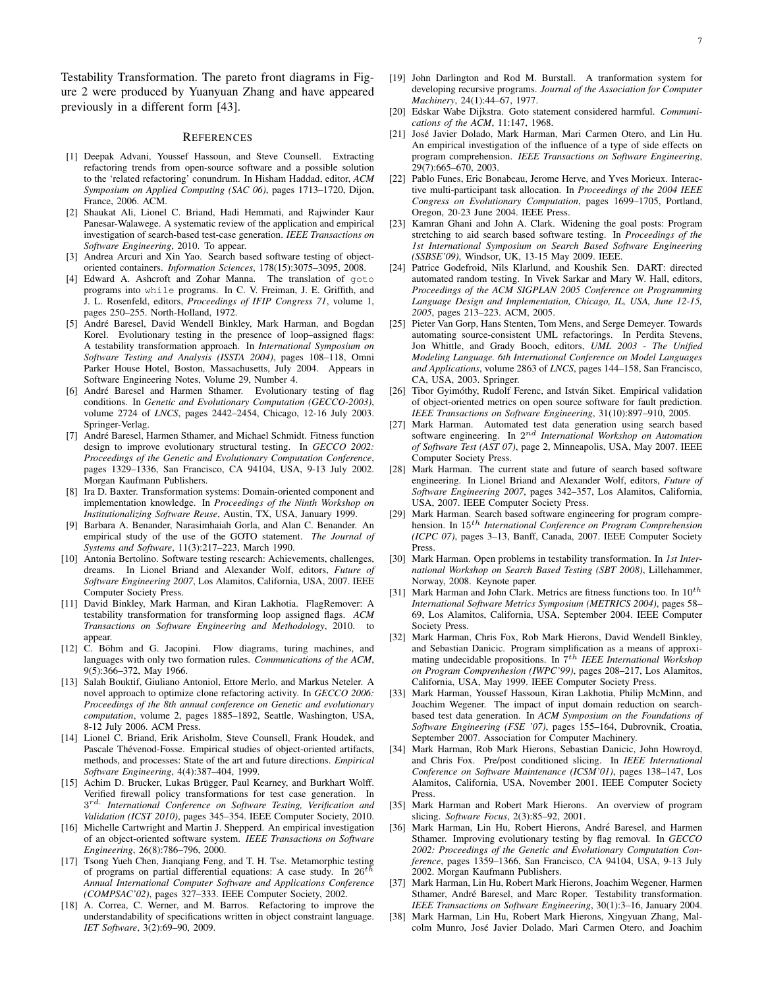Testability Transformation. The pareto front diagrams in Figure 2 were produced by Yuanyuan Zhang and have appeared previously in a different form [43].

#### REFERENCES

- [1] Deepak Advani, Youssef Hassoun, and Steve Counsell. Extracting refactoring trends from open-source software and a possible solution to the 'related refactoring' conundrum. In Hisham Haddad, editor, *ACM Symposium on Applied Computing (SAC 06)*, pages 1713–1720, Dijon, France, 2006. ACM.
- [2] Shaukat Ali, Lionel C. Briand, Hadi Hemmati, and Rajwinder Kaur Panesar-Walawege. A systematic review of the application and empirical investigation of search-based test-case generation. *IEEE Transactions on Software Engineering*, 2010. To appear.
- [3] Andrea Arcuri and Xin Yao. Search based software testing of objectoriented containers. *Information Sciences*, 178(15):3075–3095, 2008.
- [4] Edward A. Ashcroft and Zohar Manna. The translation of goto programs into while programs. In C. V. Freiman, J. E. Griffith, and J. L. Rosenfeld, editors, *Proceedings of IFIP Congress 71*, volume 1, pages 250–255. North-Holland, 1972.
- [5] André Baresel, David Wendell Binkley, Mark Harman, and Bogdan Korel. Evolutionary testing in the presence of loop–assigned flags: A testability transformation approach. In *International Symposium on Software Testing and Analysis (ISSTA 2004)*, pages 108–118, Omni Parker House Hotel, Boston, Massachusetts, July 2004. Appears in Software Engineering Notes, Volume 29, Number 4.
- [6] André Baresel and Harmen Sthamer. Evolutionary testing of flag conditions. In *Genetic and Evolutionary Computation (GECCO-2003)*, volume 2724 of *LNCS*, pages 2442–2454, Chicago, 12-16 July 2003. Springer-Verlag.
- [7] André Baresel, Harmen Sthamer, and Michael Schmidt. Fitness function design to improve evolutionary structural testing. In *GECCO 2002: Proceedings of the Genetic and Evolutionary Computation Conference*, pages 1329–1336, San Francisco, CA 94104, USA, 9-13 July 2002. Morgan Kaufmann Publishers.
- [8] Ira D. Baxter. Transformation systems: Domain-oriented component and implementation knowledge. In *Proceedings of the Ninth Workshop on Institutionalizing Software Reuse*, Austin, TX, USA, January 1999.
- [9] Barbara A. Benander, Narasimhaiah Gorla, and Alan C. Benander. An empirical study of the use of the GOTO statement. *The Journal of Systems and Software*, 11(3):217–223, March 1990.
- [10] Antonia Bertolino. Software testing research: Achievements, challenges, dreams. In Lionel Briand and Alexander Wolf, editors, *Future of Software Engineering 2007*, Los Alamitos, California, USA, 2007. IEEE Computer Society Press.
- [11] David Binkley, Mark Harman, and Kiran Lakhotia. FlagRemover: A testability transformation for transforming loop assigned flags. *ACM Transactions on Software Engineering and Methodology*, 2010. to appear.
- [12] C. Böhm and G. Jacopini. Flow diagrams, turing machines, and languages with only two formation rules. *Communications of the ACM*, 9(5):366–372, May 1966.
- [13] Salah Bouktif, Giuliano Antoniol, Ettore Merlo, and Markus Neteler. A novel approach to optimize clone refactoring activity. In *GECCO 2006: Proceedings of the 8th annual conference on Genetic and evolutionary computation*, volume 2, pages 1885–1892, Seattle, Washington, USA, 8-12 July 2006. ACM Press.
- [14] Lionel C. Briand, Erik Arisholm, Steve Counsell, Frank Houdek, and Pascale Thévenod-Fosse. Empirical studies of object-oriented artifacts, methods, and processes: State of the art and future directions. *Empirical Software Engineering*, 4(4):387–404, 1999.
- [15] Achim D. Brucker, Lukas Brügger, Paul Kearney, and Burkhart Wolff. Verified firewall policy transformations for test case generation. In 3 rd. *International Conference on Software Testing, Verification and Validation (ICST 2010)*, pages 345–354. IEEE Computer Society, 2010.
- [16] Michelle Cartwright and Martin J. Shepperd. An empirical investigation of an object-oriented software system. *IEEE Transactions on Software Engineering*, 26(8):786–796, 2000.
- [17] Tsong Yueh Chen, Jianqiang Feng, and T. H. Tse. Metamorphic testing of programs on partial differential equations: A case study. In  $26^{th}$ *Annual International Computer Software and Applications Conference (COMPSAC'02)*, pages 327–333. IEEE Computer Society, 2002.
- [18] A. Correa, C. Werner, and M. Barros. Refactoring to improve the understandability of specifications written in object constraint language. *IET Software*, 3(2):69–90, 2009.
- [19] John Darlington and Rod M. Burstall. A tranformation system for developing recursive programs. *Journal of the Association for Computer Machinery*, 24(1):44–67, 1977.
- [20] Edskar Wabe Dijkstra. Goto statement considered harmful. *Communications of the ACM*, 11:147, 1968.
- [21] José Javier Dolado, Mark Harman, Mari Carmen Otero, and Lin Hu. An empirical investigation of the influence of a type of side effects on program comprehension. *IEEE Transactions on Software Engineering*, 29(7):665–670, 2003.
- [22] Pablo Funes, Eric Bonabeau, Jerome Herve, and Yves Morieux. Interactive multi-participant task allocation. In *Proceedings of the 2004 IEEE Congress on Evolutionary Computation*, pages 1699–1705, Portland, Oregon, 20-23 June 2004. IEEE Press.
- [23] Kamran Ghani and John A. Clark. Widening the goal posts: Program stretching to aid search based software testing. In *Proceedings of the 1st International Symposium on Search Based Software Engineering (SSBSE'09)*, Windsor, UK, 13-15 May 2009. IEEE.
- [24] Patrice Godefroid, Nils Klarlund, and Koushik Sen. DART: directed automated random testing. In Vivek Sarkar and Mary W. Hall, editors, *Proceedings of the ACM SIGPLAN 2005 Conference on Programming Language Design and Implementation, Chicago, IL, USA, June 12-15, 2005*, pages 213–223. ACM, 2005.
- [25] Pieter Van Gorp, Hans Stenten, Tom Mens, and Serge Demeyer. Towards automating source-consistent UML refactorings. In Perdita Stevens, Jon Whittle, and Grady Booch, editors, *UML 2003 - The Unified Modeling Language. 6th International Conference on Model Languages and Applications*, volume 2863 of *LNCS*, pages 144–158, San Francisco, CA, USA, 2003. Springer.
- [26] Tibor Gyimóthy, Rudolf Ferenc, and István Siket. Empirical validation of object-oriented metrics on open source software for fault prediction. *IEEE Transactions on Software Engineering*, 31(10):897–910, 2005.
- [27] Mark Harman. Automated test data generation using search based software engineering. In 2<sup>nd</sup> International Workshop on Automation *of Software Test (AST 07)*, page 2, Minneapolis, USA, May 2007. IEEE Computer Society Press.
- [28] Mark Harman. The current state and future of search based software engineering. In Lionel Briand and Alexander Wolf, editors, *Future of Software Engineering 2007*, pages 342–357, Los Alamitos, California, USA, 2007. IEEE Computer Society Press.
- [29] Mark Harman. Search based software engineering for program comprehension. In 15th *International Conference on Program Comprehension (ICPC 07)*, pages 3–13, Banff, Canada, 2007. IEEE Computer Society Press.
- [30] Mark Harman. Open problems in testability transformation. In *1st International Workshop on Search Based Testing (SBT 2008)*, Lillehammer, Norway, 2008. Keynote paper.
- [31] Mark Harman and John Clark. Metrics are fitness functions too. In  $10^{th}$ *International Software Metrics Symposium (METRICS 2004)*, pages 58– 69, Los Alamitos, California, USA, September 2004. IEEE Computer Society Press.
- [32] Mark Harman, Chris Fox, Rob Mark Hierons, David Wendell Binkley, and Sebastian Danicic. Program simplification as a means of approximating undecidable propositions. In 7 th *IEEE International Workshop on Program Comprenhesion (IWPC'99)*, pages 208–217, Los Alamitos, California, USA, May 1999. IEEE Computer Society Press.
- [33] Mark Harman, Youssef Hassoun, Kiran Lakhotia, Philip McMinn, and Joachim Wegener. The impact of input domain reduction on searchbased test data generation. In *ACM Symposium on the Foundations of Software Engineering (FSE '07)*, pages 155–164, Dubrovnik, Croatia, September 2007. Association for Computer Machinery.
- [34] Mark Harman, Rob Mark Hierons, Sebastian Danicic, John Howroyd, and Chris Fox. Pre/post conditioned slicing. In *IEEE International Conference on Software Maintenance (ICSM'01)*, pages 138–147, Los Alamitos, California, USA, November 2001. IEEE Computer Society Press.
- [35] Mark Harman and Robert Mark Hierons. An overview of program slicing. *Software Focus*, 2(3):85–92, 2001.
- [36] Mark Harman, Lin Hu, Robert Hierons, André Baresel, and Harmen Sthamer. Improving evolutionary testing by flag removal. In *GECCO 2002: Proceedings of the Genetic and Evolutionary Computation Conference*, pages 1359–1366, San Francisco, CA 94104, USA, 9-13 July 2002. Morgan Kaufmann Publishers.
- [37] Mark Harman, Lin Hu, Robert Mark Hierons, Joachim Wegener, Harmen Sthamer, André Baresel, and Marc Roper. Testability transformation. *IEEE Transactions on Software Engineering*, 30(1):3–16, January 2004.
- [38] Mark Harman, Lin Hu, Robert Mark Hierons, Xingyuan Zhang, Malcolm Munro, Jose Javier Dolado, Mari Carmen Otero, and Joachim ´